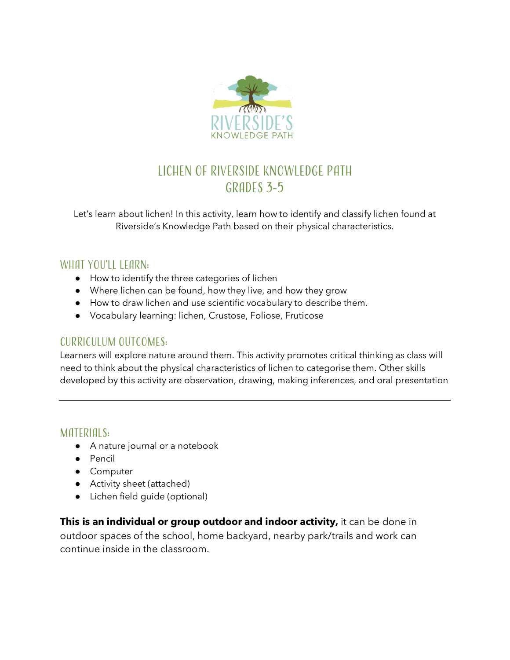

# Lichen of Riverside Knowledge Path GRADES 3-5

Let's learn about lichen! In this activity, learn how to identify and classify lichen found at Riverside's Knowledge Path based on their physical characteristics.

#### WHAT YOU'LL LEARN:

- How to identify the three categories of lichen
- Where lichen can be found, how they live, and how they grow
- How to draw lichen and use scientific vocabulary to describe them.
- Vocabulary learning: lichen, Crustose, Foliose, Fruticose

#### Curriculum Outcomes:

Learners will explore nature around them. This activity promotes critical thinking as class will need to think about the physical characteristics of lichen to categorise them. Other skills developed by this activity are observation, drawing, making inferences, and oral presentation

#### MATERIALS:

- A nature journal or a notebook
- Pencil
- Computer
- Activity sheet (attached)
- Lichen field guide (optional)

**This is an individual or group outdoor and indoor activity,** it can be done in outdoor spaces of the school, home backyard, nearby park/trails and work can continue inside in the classroom.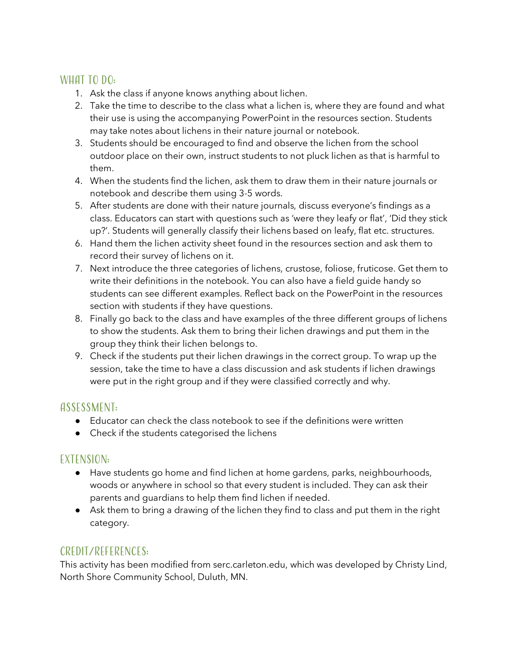#### WHAT TO DO:

- 1. Ask the class if anyone knows anything about lichen.
- 2. Take the time to describe to the class what a lichen is, where they are found and what their use is using the accompanying PowerPoint in the resources section. Students may take notes about lichens in their nature journal or notebook.
- 3. Students should be encouraged to find and observe the lichen from the school outdoor place on their own, instruct students to not pluck lichen as that is harmful to them.
- 4. When the students find the lichen, ask them to draw them in their nature journals or notebook and describe them using 3-5 words.
- 5. After students are done with their nature journals, discuss everyone's findings as a class. Educators can start with questions such as 'were they leafy or flat', 'Did they stick up?'. Students will generally classify their lichens based on leafy, flat etc. structures.
- 6. Hand them the lichen activity sheet found in the resources section and ask them to record their survey of lichens on it.
- 7. Next introduce the three categories of lichens, crustose, foliose, fruticose. Get them to write their definitions in the notebook. You can also have a field guide handy so students can see different examples. Reflect back on the PowerPoint in the resources section with students if they have questions.
- 8. Finally go back to the class and have examples of the three different groups of lichens to show the students. Ask them to bring their lichen drawings and put them in the group they think their lichen belongs to.
- 9. Check if the students put their lichen drawings in the correct group. To wrap up the session, take the time to have a class discussion and ask students if lichen drawings were put in the right group and if they were classified correctly and why.

### Assessment:

- $\bullet$  Educator can check the class notebook to see if the definitions were written
- Check if the students categorised the lichens

## Extension:

- Have students go home and find lichen at home gardens, parks, neighbourhoods, woods or anywhere in school so that every student is included. They can ask their parents and guardians to help them find lichen if needed.
- Ask them to bring a drawing of the lichen they find to class and put them in the right category.

### Credit/References:

This activity has been modified from serc.carleton.edu, which was developed by Christy Lind, North Shore Community School, Duluth, MN.